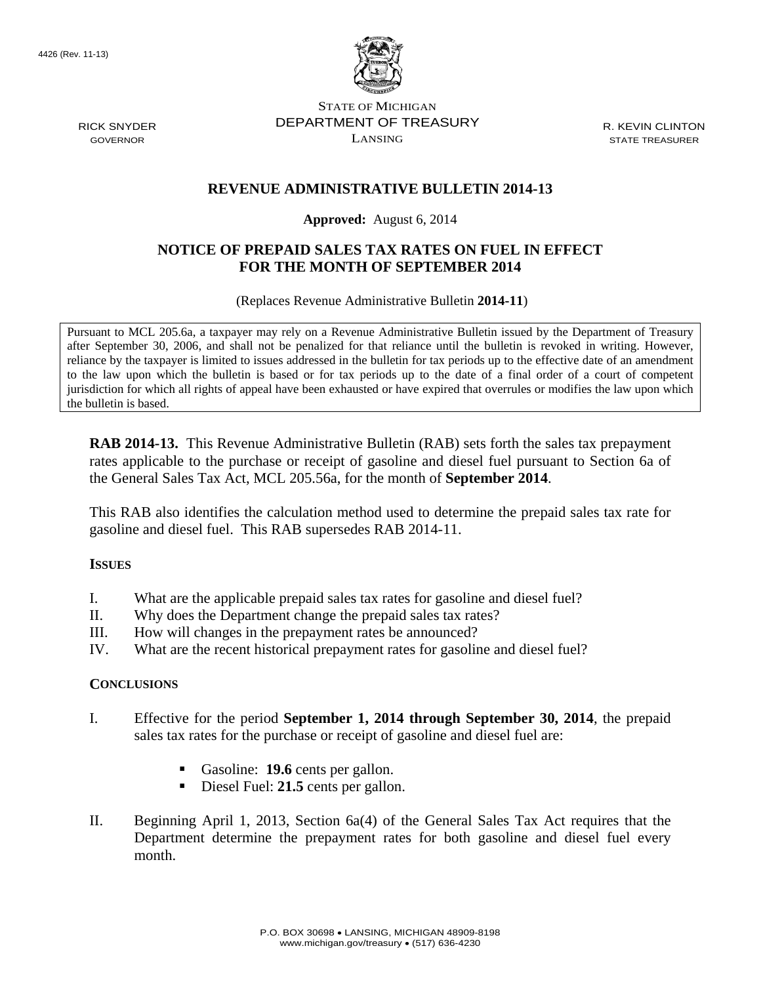

STATE OF MICHIGAN DEPARTMENT OF TREASURY LANSING

R. KEVIN CLINTON STATE TREASURER

### **REVENUE ADMINISTRATIVE BULLETIN 2014-13**

#### **Approved:** August 6, 2014

## **NOTICE OF PREPAID SALES TAX RATES ON FUEL IN EFFECT FOR THE MONTH OF SEPTEMBER 2014**

(Replaces Revenue Administrative Bulletin **2014-11**)

Pursuant to MCL 205.6a, a taxpayer may rely on a Revenue Administrative Bulletin issued by the Department of Treasury after September 30, 2006, and shall not be penalized for that reliance until the bulletin is revoked in writing. However, reliance by the taxpayer is limited to issues addressed in the bulletin for tax periods up to the effective date of an amendment to the law upon which the bulletin is based or for tax periods up to the date of a final order of a court of competent jurisdiction for which all rights of appeal have been exhausted or have expired that overrules or modifies the law upon which the bulletin is based.

**RAB 2014-13.** This Revenue Administrative Bulletin (RAB) sets forth the sales tax prepayment rates applicable to the purchase or receipt of gasoline and diesel fuel pursuant to Section 6a of the General Sales Tax Act, MCL 205.56a, for the month of **September 2014**.

This RAB also identifies the calculation method used to determine the prepaid sales tax rate for gasoline and diesel fuel. This RAB supersedes RAB 2014-11.

#### **ISSUES**

- I. What are the applicable prepaid sales tax rates for gasoline and diesel fuel?
- II. Why does the Department change the prepaid sales tax rates?
- III. How will changes in the prepayment rates be announced?
- IV. What are the recent historical prepayment rates for gasoline and diesel fuel?

#### **CONCLUSIONS**

- I. Effective for the period **September 1, 2014 through September 30, 2014**, the prepaid sales tax rates for the purchase or receipt of gasoline and diesel fuel are:
	- Gasoline: **19.6** cents per gallon.
	- Diesel Fuel: **21.5** cents per gallon.
- II. Beginning April 1, 2013, Section 6a(4) of the General Sales Tax Act requires that the Department determine the prepayment rates for both gasoline and diesel fuel every month.

RICK SNYDER GOVERNOR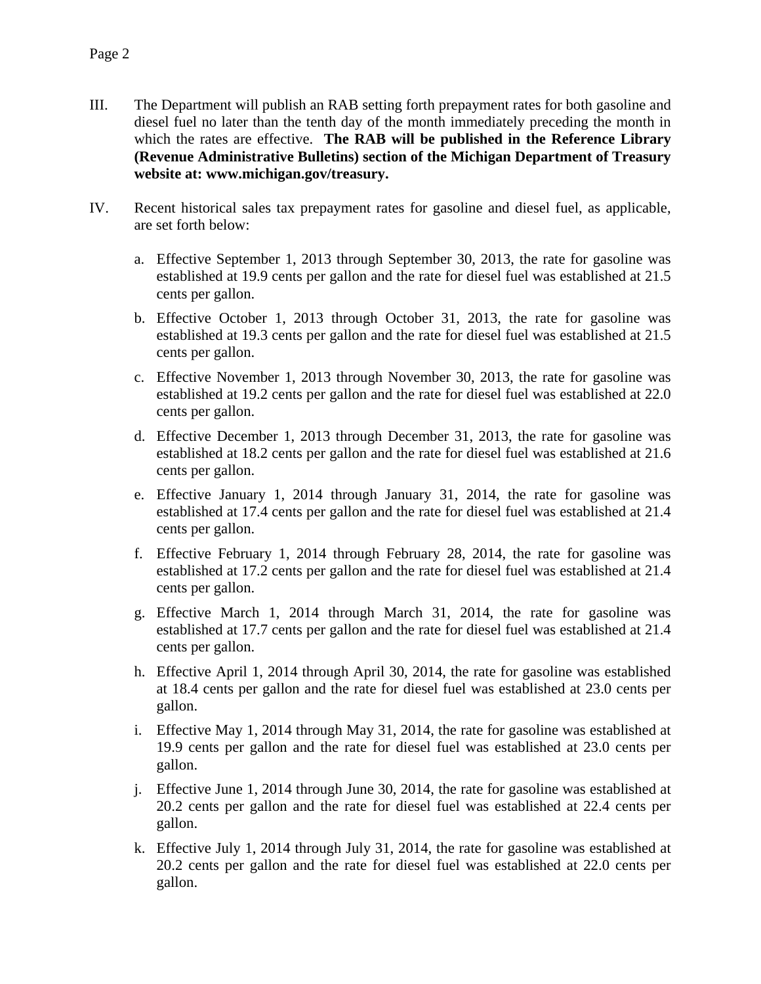- III. The Department will publish an RAB setting forth prepayment rates for both gasoline and diesel fuel no later than the tenth day of the month immediately preceding the month in which the rates are effective. **The RAB will be published in the Reference Library (Revenue Administrative Bulletins) section of the Michigan Department of Treasury website at: www.michigan.gov/treasury.**
- IV. Recent historical sales tax prepayment rates for gasoline and diesel fuel, as applicable, are set forth below:
	- a. Effective September 1, 2013 through September 30, 2013, the rate for gasoline was established at 19.9 cents per gallon and the rate for diesel fuel was established at 21.5 cents per gallon.
	- b. Effective October 1, 2013 through October 31, 2013, the rate for gasoline was established at 19.3 cents per gallon and the rate for diesel fuel was established at 21.5 cents per gallon.
	- c. Effective November 1, 2013 through November 30, 2013, the rate for gasoline was established at 19.2 cents per gallon and the rate for diesel fuel was established at 22.0 cents per gallon.
	- d. Effective December 1, 2013 through December 31, 2013, the rate for gasoline was established at 18.2 cents per gallon and the rate for diesel fuel was established at 21.6 cents per gallon.
	- e. Effective January 1, 2014 through January 31, 2014, the rate for gasoline was established at 17.4 cents per gallon and the rate for diesel fuel was established at 21.4 cents per gallon.
	- f. Effective February 1, 2014 through February 28, 2014, the rate for gasoline was established at 17.2 cents per gallon and the rate for diesel fuel was established at 21.4 cents per gallon.
	- g. Effective March 1, 2014 through March 31, 2014, the rate for gasoline was established at 17.7 cents per gallon and the rate for diesel fuel was established at 21.4 cents per gallon.
	- h. Effective April 1, 2014 through April 30, 2014, the rate for gasoline was established at 18.4 cents per gallon and the rate for diesel fuel was established at 23.0 cents per gallon.
	- i. Effective May 1, 2014 through May 31, 2014, the rate for gasoline was established at 19.9 cents per gallon and the rate for diesel fuel was established at 23.0 cents per gallon.
	- j. Effective June 1, 2014 through June 30, 2014, the rate for gasoline was established at 20.2 cents per gallon and the rate for diesel fuel was established at 22.4 cents per gallon.
	- k. Effective July 1, 2014 through July 31, 2014, the rate for gasoline was established at 20.2 cents per gallon and the rate for diesel fuel was established at 22.0 cents per gallon.